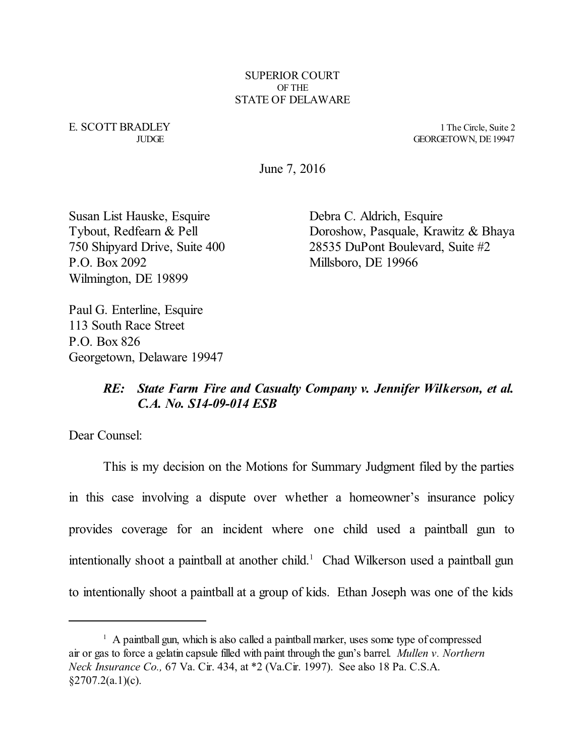SUPERIOR COURT OF THE STATE OF DELAWARE

E. SCOTT BRADLEY 1 The Circle, Suite 2

JUDGE GEORGETOWN, DE19947

June 7, 2016

Susan List Hauske, Esquire Debra C. Aldrich, Esquire P.O. Box 2092 Millsboro, DE 19966 Wilmington, DE 19899

Tybout, Redfearn & Pell Doroshow, Pasquale, Krawitz & Bhaya 750 Shipyard Drive, Suite 400 28535 DuPont Boulevard, Suite #2

Paul G. Enterline, Esquire 113 South Race Street P.O. Box 826 Georgetown, Delaware 19947

## *RE: State Farm Fire and Casualty Company v. Jennifer Wilkerson, et al. C.A. No. S14-09-014 ESB*

Dear Counsel:

This is my decision on the Motions for Summary Judgment filed by the parties in this case involving a dispute over whether a homeowner's insurance policy provides coverage for an incident where one child used a paintball gun to intentionally shoot a paintball at another child. <sup>1</sup> Chad Wilkerson used a paintball gun to intentionally shoot a paintball at a group of kids. Ethan Joseph was one of the kids

<sup>&</sup>lt;sup>1</sup> A paintball gun, which is also called a paintball marker, uses some type of compressed air or gas to force a gelatin capsule filled with paint through the gun's barrel. *Mullen v. Northern Neck Insurance Co.,* 67 Va. Cir. 434, at \*2 (Va.Cir. 1997). See also 18 Pa. C.S.A.  $§2707.2(a.1)(c).$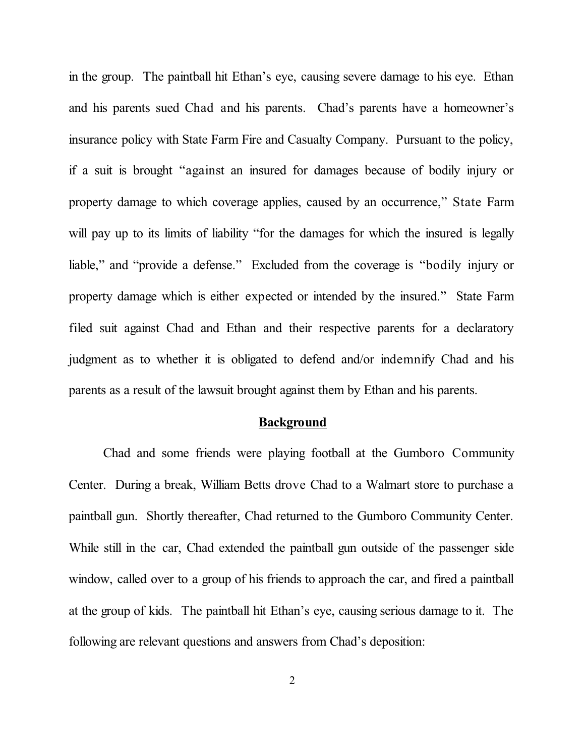in the group. The paintball hit Ethan's eye, causing severe damage to his eye. Ethan and his parents sued Chad and his parents. Chad's parents have a homeowner's insurance policy with State Farm Fire and Casualty Company. Pursuant to the policy, if a suit is brought "against an insured for damages because of bodily injury or property damage to which coverage applies, caused by an occurrence," State Farm will pay up to its limits of liability "for the damages for which the insured is legally liable," and "provide a defense." Excluded from the coverage is "bodily injury or property damage which is either expected or intended by the insured." State Farm filed suit against Chad and Ethan and their respective parents for a declaratory judgment as to whether it is obligated to defend and/or indemnify Chad and his parents as a result of the lawsuit brought against them by Ethan and his parents.

#### **Background**

Chad and some friends were playing football at the Gumboro Community Center. During a break, William Betts drove Chad to a Walmart store to purchase a paintball gun. Shortly thereafter, Chad returned to the Gumboro Community Center. While still in the car, Chad extended the paintball gun outside of the passenger side window, called over to a group of his friends to approach the car, and fired a paintball at the group of kids. The paintball hit Ethan's eye, causing serious damage to it. The following are relevant questions and answers from Chad's deposition: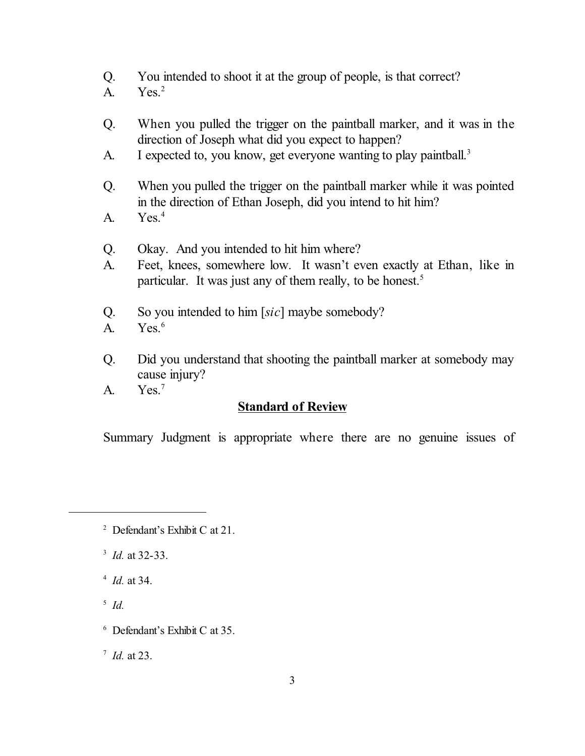- Q. You intended to shoot it at the group of people, is that correct?
- A. Yes. 2
- Q. When you pulled the trigger on the paintball marker, and it was in the direction of Joseph what did you expect to happen?
- A. I expected to, you know, get everyone wanting to play paintball.<sup>3</sup>
- Q. When you pulled the trigger on the paintball marker while it was pointed in the direction of Ethan Joseph, did you intend to hit him?
- A. Yes. 4
- Q. Okay. And you intended to hit him where?
- A. Feet, knees, somewhere low. It wasn't even exactly at Ethan, like in particular. It was just any of them really, to be honest.<sup>5</sup>
- Q. So you intended to him [*sic*] maybe somebody?
- A. Yes. 6
- Q. Did you understand that shooting the paintball marker at somebody may cause injury?
- A. Yes. 7

### **Standard of Review**

Summary Judgment is appropriate where there are no genuine issues of

- 3 *Id.* at 32-33.
- 4 *Id.* at 34.
- 5  *Id.*
- 6 Defendant's Exhibit C at 35.

7 *Id.* at 23.

<sup>2</sup> Defendant's Exhibit C at 21.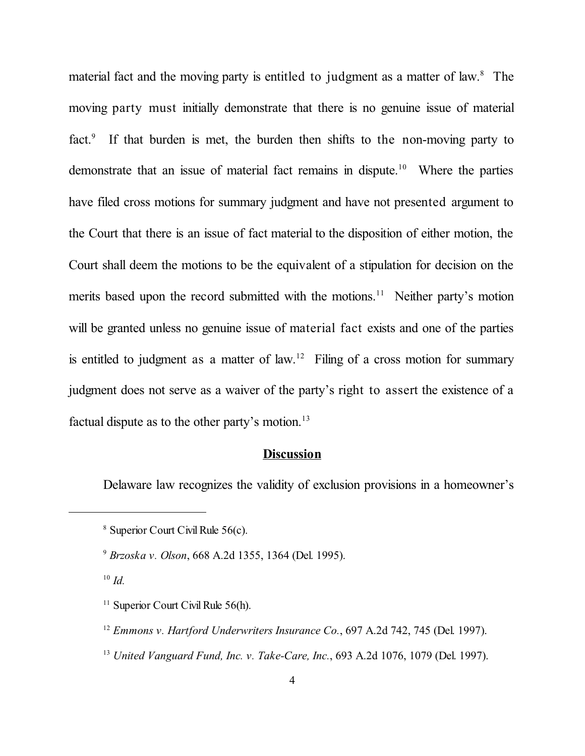material fact and the moving party is entitled to judgment as a matter of law.<sup>8</sup> The moving party must initially demonstrate that there is no genuine issue of material fact.<sup>9</sup> If that burden is met, the burden then shifts to the non-moving party to demonstrate that an issue of material fact remains in dispute. <sup>10</sup> Where the parties have filed cross motions for summary judgment and have not presented argument to the Court that there is an issue of fact material to the disposition of either motion, the Court shall deem the motions to be the equivalent of a stipulation for decision on the merits based upon the record submitted with the motions.<sup>11</sup> Neither party's motion will be granted unless no genuine issue of material fact exists and one of the parties is entitled to judgment as a matter of law.<sup>12</sup> Filing of a cross motion for summary judgment does not serve as a waiver of the party's right to assert the existence of a factual dispute as to the other party's motion.<sup>13</sup>

#### **Discussion**

Delaware law recognizes the validity of exclusion provisions in a homeowner's

10 *Id.*

13  *United Vanguard Fund, Inc. v. Take-Care, Inc.*, 693 A.2d 1076, 1079 (Del. 1997).

<sup>8</sup> Superior Court Civil Rule 56(c).

<sup>9</sup>  *Brzoska v. Olson*, 668 A.2d 1355, 1364 (Del. 1995).

<sup>&</sup>lt;sup>11</sup> Superior Court Civil Rule 56(h).

<sup>&</sup>lt;sup>12</sup> Emmons v. Hartford Underwriters Insurance Co., 697 A.2d 742, 745 (Del. 1997).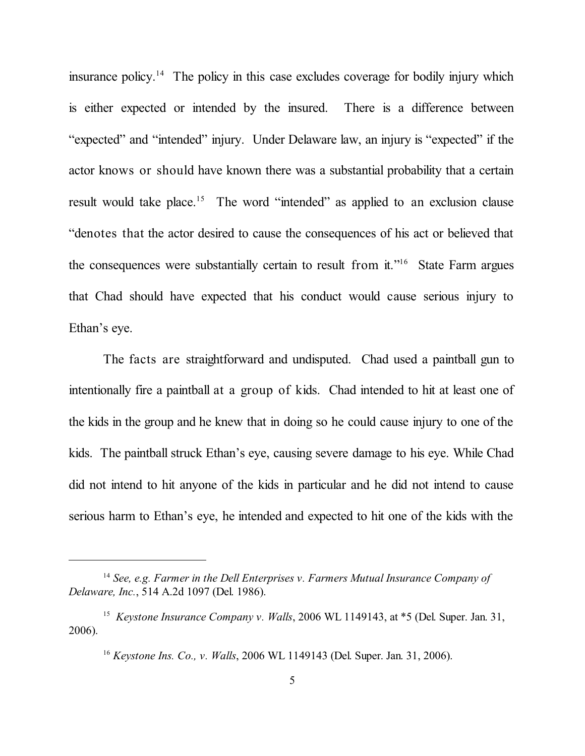insurance policy.<sup>14</sup> The policy in this case excludes coverage for bodily injury which is either expected or intended by the insured. There is a difference between "expected" and "intended" injury. Under Delaware law, an injury is "expected" if the actor knows or should have known there was a substantial probability that a certain result would take place.<sup>15</sup> The word "intended" as applied to an exclusion clause "denotes that the actor desired to cause the consequences of his act or believed that the consequences were substantially certain to result from it."<sup>16</sup> State Farm argues that Chad should have expected that his conduct would cause serious injury to Ethan's eye.

The facts are straightforward and undisputed. Chad used a paintball gun to intentionally fire a paintball at a group of kids. Chad intended to hit at least one of the kids in the group and he knew that in doing so he could cause injury to one of the kids. The paintball struck Ethan's eye, causing severe damage to his eye. While Chad did not intend to hit anyone of the kids in particular and he did not intend to cause serious harm to Ethan's eye, he intended and expected to hit one of the kids with the

<sup>14</sup>  *See, e.g. Farmer in the Dell Enterprises v. Farmers Mutual Insurance Company of Delaware, Inc.*, 514 A.2d 1097 (Del. 1986).

<sup>&</sup>lt;sup>15</sup> Keystone Insurance Company v. Walls, 2006 WL 1149143, at \*5 (Del. Super. Jan. 31, 2006).

<sup>&</sup>lt;sup>16</sup> Keystone Ins. Co., v. Walls, 2006 WL 1149143 (Del. Super. Jan. 31, 2006).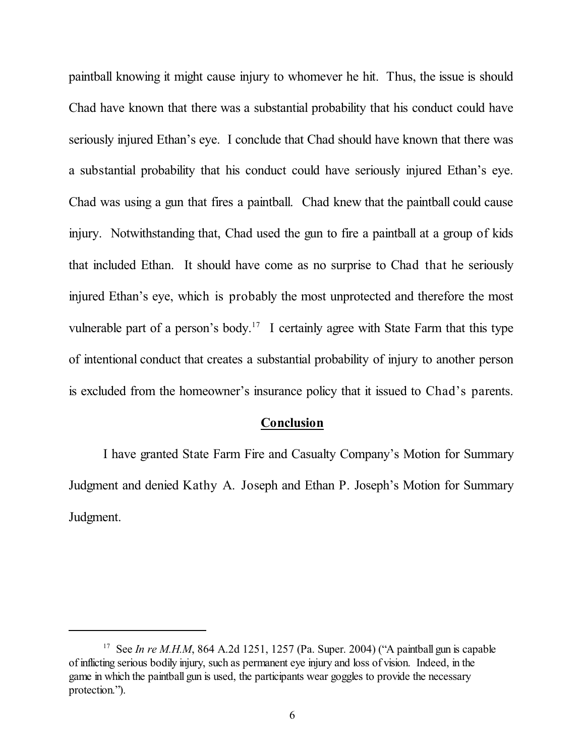paintball knowing it might cause injury to whomever he hit. Thus, the issue is should Chad have known that there was a substantial probability that his conduct could have seriously injured Ethan's eye. I conclude that Chad should have known that there was a substantial probability that his conduct could have seriously injured Ethan's eye. Chad was using a gun that fires a paintball. Chad knew that the paintball could cause injury. Notwithstanding that, Chad used the gun to fire a paintball at a group of kids that included Ethan. It should have come as no surprise to Chad that he seriously injured Ethan's eye, which is probably the most unprotected and therefore the most vulnerable part of a person's body.<sup>17</sup> I certainly agree with State Farm that this type of intentional conduct that creates a substantial probability of injury to another person is excluded from the homeowner's insurance policy that it issued to Chad's parents.

#### **Conclusion**

I have granted State Farm Fire and Casualty Company's Motion for Summary Judgment and denied Kathy A. Joseph and Ethan P. Joseph's Motion for Summary Judgment.

<sup>&</sup>lt;sup>17</sup> See *In re M.H.M*, 864 A.2d 1251, 1257 (Pa. Super. 2004) ("A paintball gun is capable of inflicting serious bodily injury, such as permanent eye injury and loss of vision. Indeed, in the game in which the paintball gun is used, the participants wear goggles to provide the necessary protection.").